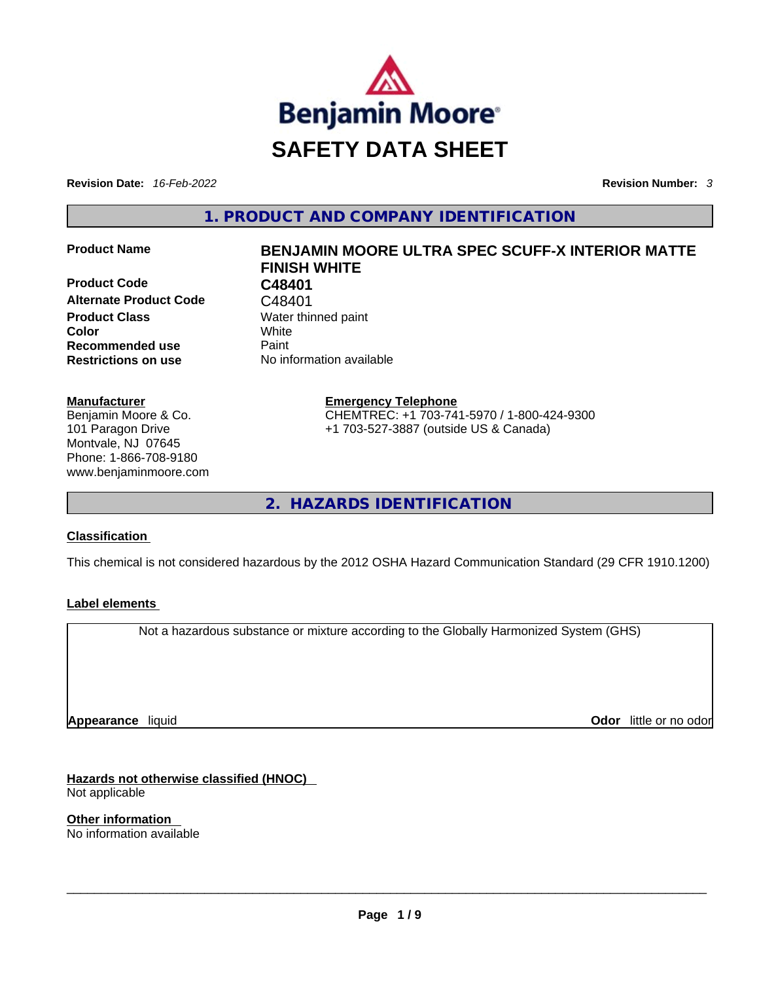

**Revision Date:** *16-Feb-2022* **Revision Number:** *3*

**1. PRODUCT AND COMPANY IDENTIFICATION** 

**Product Code C48401 Alternate Product Code** C48401 **Product Class Water thinned paint Color** White **Recommended use Paint Restrictions on use** No information available

#### **Manufacturer**

Benjamin Moore & Co. 101 Paragon Drive Montvale, NJ 07645 Phone: 1-866-708-9180 www.benjaminmoore.com

# **Product Name BENJAMIN MOORE ULTRA SPEC SCUFF-X INTERIOR MATTE FINISH WHITE**

**Emergency Telephone** CHEMTREC: +1 703-741-5970 / 1-800-424-9300 +1 703-527-3887 (outside US & Canada)

**2. HAZARDS IDENTIFICATION** 

#### **Classification**

This chemical is not considered hazardous by the 2012 OSHA Hazard Communication Standard (29 CFR 1910.1200)

#### **Label elements**

Not a hazardous substance or mixture according to the Globally Harmonized System (GHS)

**Appearance** liquid

**Odor** little or no odor

**Hazards not otherwise classified (HNOC)**  Not applicable

**Other information**  No information available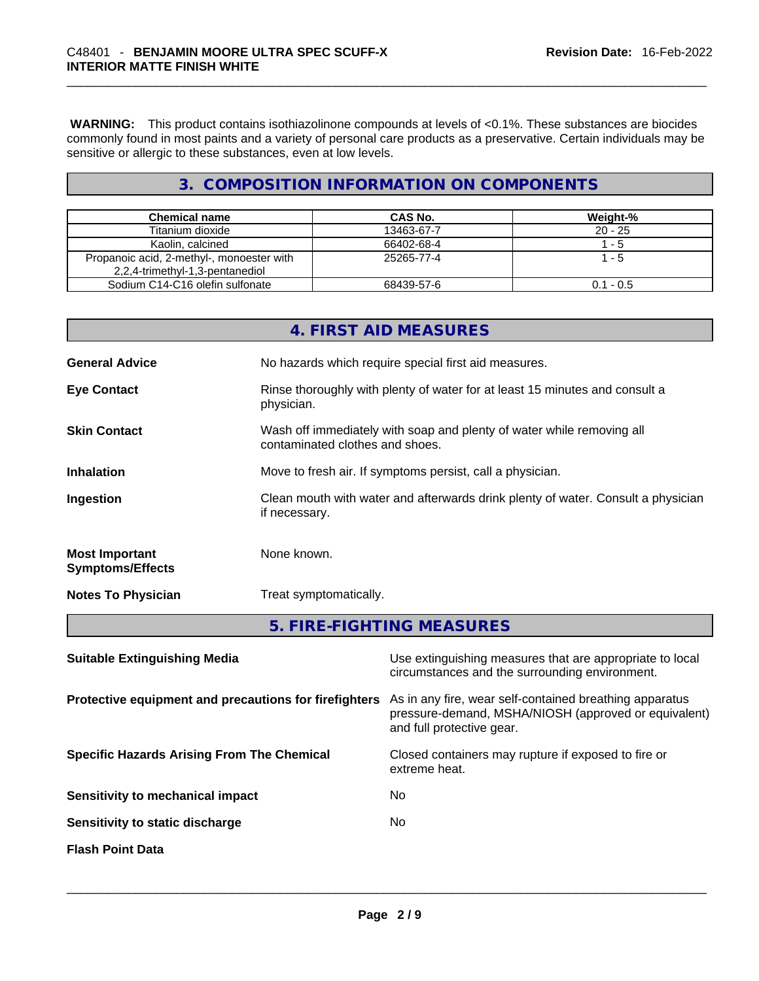**WARNING:** This product contains isothiazolinone compounds at levels of <0.1%. These substances are biocides commonly found in most paints and a variety of personal care products as a preservative. Certain individuals may be sensitive or allergic to these substances, even at low levels.

# **3. COMPOSITION INFORMATION ON COMPONENTS**

| <b>Chemical name</b>                      | CAS No.    | Weight-%    |
|-------------------------------------------|------------|-------------|
| Titanium dioxide                          | 13463-67-7 | $20 - 25$   |
| Kaolin, calcined                          | 66402-68-4 | l - 5       |
| Propanoic acid, 2-methyl-, monoester with | 25265-77-4 | 1 - 5       |
| 2,2,4-trimethyl-1,3-pentanediol           |            |             |
| Sodium C14-C16 olefin sulfonate           | 68439-57-6 | $0.1 - 0.5$ |

|                                                  | 4. FIRST AID MEASURES                                                                                    |
|--------------------------------------------------|----------------------------------------------------------------------------------------------------------|
| <b>General Advice</b>                            | No hazards which require special first aid measures.                                                     |
| <b>Eye Contact</b>                               | Rinse thoroughly with plenty of water for at least 15 minutes and consult a<br>physician.                |
| <b>Skin Contact</b>                              | Wash off immediately with soap and plenty of water while removing all<br>contaminated clothes and shoes. |
| <b>Inhalation</b>                                | Move to fresh air. If symptoms persist, call a physician.                                                |
| Ingestion                                        | Clean mouth with water and afterwards drink plenty of water. Consult a physician<br>if necessary.        |
| <b>Most Important</b><br><b>Symptoms/Effects</b> | None known.                                                                                              |
| <b>Notes To Physician</b>                        | Treat symptomatically.                                                                                   |
|                                                  | 5. FIRE-FIGHTING MEASURES                                                                                |

| <b>Suitable Extinguishing Media</b>                   | Use extinguishing measures that are appropriate to local<br>circumstances and the surrounding environment.                                   |
|-------------------------------------------------------|----------------------------------------------------------------------------------------------------------------------------------------------|
| Protective equipment and precautions for firefighters | As in any fire, wear self-contained breathing apparatus<br>pressure-demand, MSHA/NIOSH (approved or equivalent)<br>and full protective gear. |
| <b>Specific Hazards Arising From The Chemical</b>     | Closed containers may rupture if exposed to fire or<br>extreme heat.                                                                         |
| Sensitivity to mechanical impact                      | No.                                                                                                                                          |
| Sensitivity to static discharge                       | No.                                                                                                                                          |
| <b>Flash Point Data</b>                               |                                                                                                                                              |
|                                                       |                                                                                                                                              |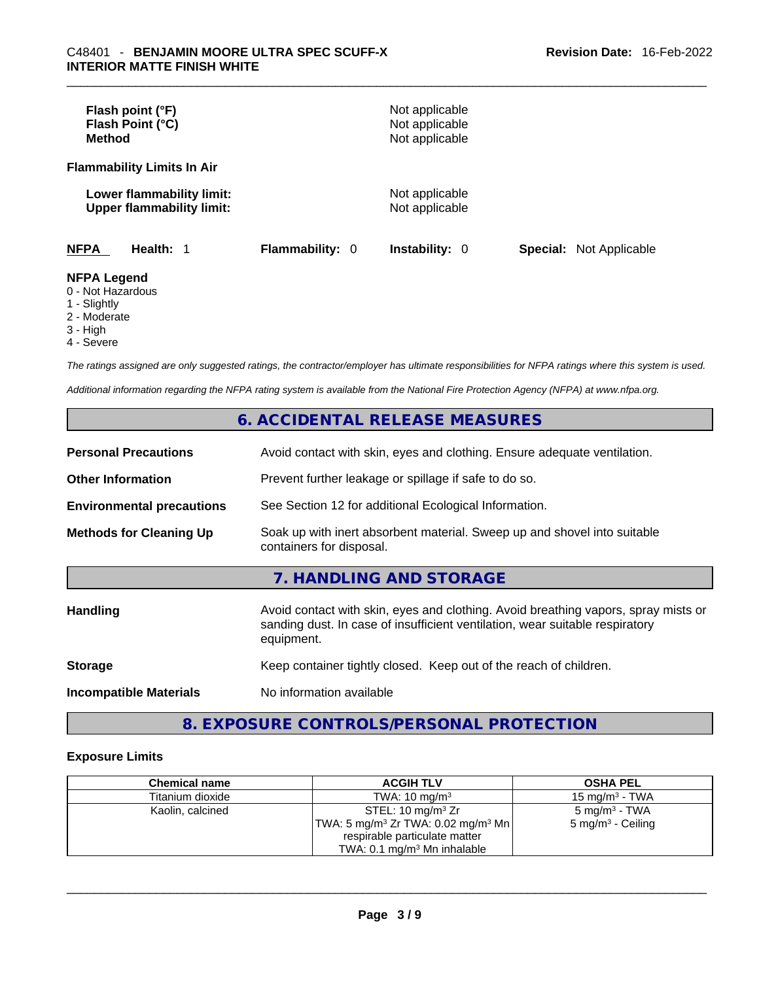| Flash point (°F)<br>Flash Point (°C)<br><b>Method</b>         |                        | Not applicable<br>Not applicable<br>Not applicable |                                |
|---------------------------------------------------------------|------------------------|----------------------------------------------------|--------------------------------|
| <b>Flammability Limits In Air</b>                             |                        |                                                    |                                |
| Lower flammability limit:<br><b>Upper flammability limit:</b> |                        | Not applicable<br>Not applicable                   |                                |
| <b>NFPA</b><br>Health: 1                                      | <b>Flammability: 0</b> | <b>Instability: 0</b>                              | <b>Special: Not Applicable</b> |
| <b>NFPA Legend</b><br>0 - Not Hazardous<br>1 - Slightly       |                        |                                                    |                                |

- 2 Moderate
- 3 High
- 4 Severe

*The ratings assigned are only suggested ratings, the contractor/employer has ultimate responsibilities for NFPA ratings where this system is used.* 

*Additional information regarding the NFPA rating system is available from the National Fire Protection Agency (NFPA) at www.nfpa.org.* 

## **6. ACCIDENTAL RELEASE MEASURES**

| <b>Personal Precautions</b>      | Avoid contact with skin, eyes and clothing. Ensure adequate ventilation.                                                                                                         |
|----------------------------------|----------------------------------------------------------------------------------------------------------------------------------------------------------------------------------|
| <b>Other Information</b>         | Prevent further leakage or spillage if safe to do so.                                                                                                                            |
| <b>Environmental precautions</b> | See Section 12 for additional Ecological Information.                                                                                                                            |
| <b>Methods for Cleaning Up</b>   | Soak up with inert absorbent material. Sweep up and shovel into suitable<br>containers for disposal.                                                                             |
|                                  | 7. HANDLING AND STORAGE                                                                                                                                                          |
| <b>Handling</b>                  | Avoid contact with skin, eyes and clothing. Avoid breathing vapors, spray mists or<br>sanding dust. In case of insufficient ventilation, wear suitable respiratory<br>equipment. |
| <b>Storage</b>                   | Keep container tightly closed. Keep out of the reach of children.                                                                                                                |
| <b>Incompatible Materials</b>    | No information available                                                                                                                                                         |

# **8. EXPOSURE CONTROLS/PERSONAL PROTECTION**

#### **Exposure Limits**

| <b>Chemical name</b> | <b>ACGIH TLV</b>                                            | <b>OSHA PEL</b>              |
|----------------------|-------------------------------------------------------------|------------------------------|
| Titanium dioxide     | TWA: $10 \text{ mg/m}^3$                                    | 15 mg/m $3$ - TWA            |
| Kaolin, calcined     | STEL: 10 mg/m $3$ Zr                                        | 5 mg/m <sup>3</sup> - TWA    |
|                      | 'TWA: 5 mg/m <sup>3</sup> Zr TWA: 0.02 mg/m <sup>3</sup> Mn | $5 \text{ mg/m}^3$ - Ceiling |
|                      | respirable particulate matter                               |                              |
|                      | TWA: $0.1 \text{ mg/m}^3$ Mn inhalable                      |                              |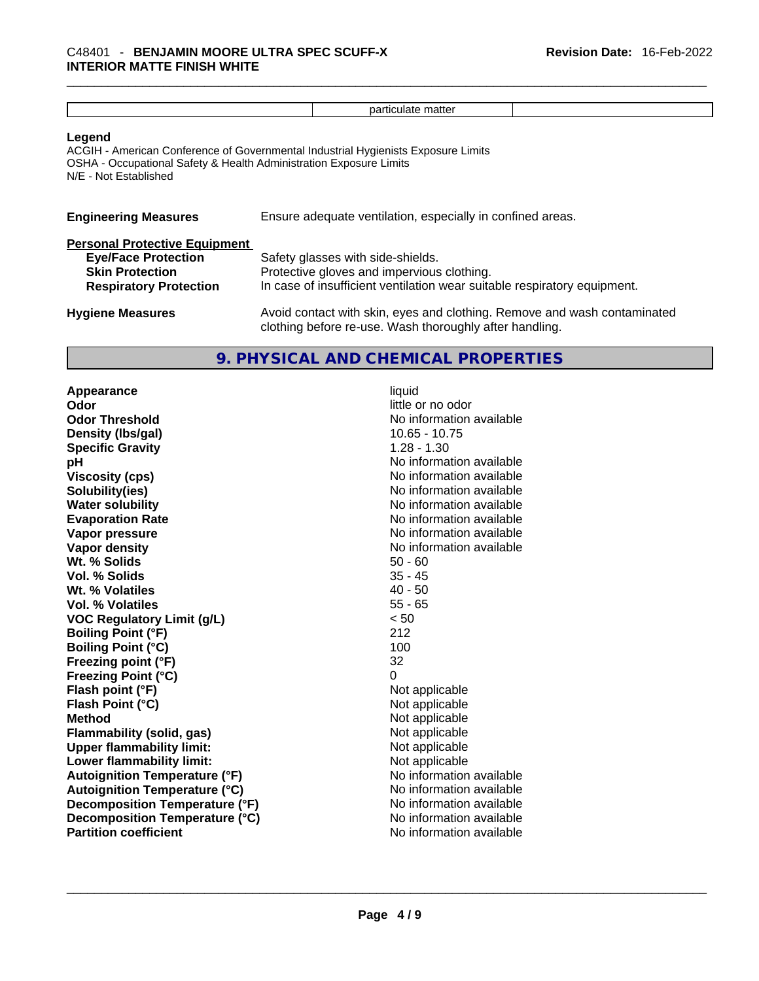|                                                                                                                               | particulate matter                                                                                                                                          |
|-------------------------------------------------------------------------------------------------------------------------------|-------------------------------------------------------------------------------------------------------------------------------------------------------------|
| Legend<br>OSHA - Occupational Safety & Health Administration Exposure Limits<br>N/E - Not Established                         | ACGIH - American Conference of Governmental Industrial Hygienists Exposure Limits                                                                           |
| <b>Engineering Measures</b>                                                                                                   | Ensure adequate ventilation, especially in confined areas.                                                                                                  |
| <b>Personal Protective Equipment</b><br><b>Eye/Face Protection</b><br><b>Skin Protection</b><br><b>Respiratory Protection</b> | Safety glasses with side-shields.<br>Protective gloves and impervious clothing.<br>In case of insufficient ventilation wear suitable respiratory equipment. |
| <b>Hygiene Measures</b>                                                                                                       | Avoid contact with skin, eyes and clothing. Remove and wash contaminated                                                                                    |

clothing before re-use. Wash thoroughly after handling.

# **9. PHYSICAL AND CHEMICAL PROPERTIES**

**Appearance** liquid **Odor Odor Odor Odor Odor Odor** *little or no odor little or no odor little or no odor* **Odor Threshold** No information available **Density (lbs/gal)** 10.65 - 10.75 **Specific Gravity** 1.28 - 1.30 **pH pH** *No* information available **Viscosity (cps) No information available Solubility(ies)**<br> **No** information available<br> **Water solubility**<br> **Water solubility Evaporation Rate No information available Vapor pressure**  No information available **Vapor pressure No information available Vapor density**<br> **We Solids**<br>
We Solids
2019<br>
Me Solids
2019<br>
Me Solids
2019<br>
Me Solids
2019<br>
Me Solids
2019 Wt. % Solids **Vol. % Solids** 35 - 45 **Wt. % Volatiles** 40 - 50 **Vol. % Volatiles** 55 - 65 **VOC Regulatory Limit (g/L)** < 50 **Boiling Point (°F) Boiling Point**  $(°C)$  100 **Freezing point (°F)** 32 **Freezing Point (°C)** 0 **Flash point (°F)**<br> **Flash Point (°C)**<br> **Flash Point (°C)**<br> **Not** applicable **Flash Point (°C) Method** Not applicable **Flammability (solid, gas)** Not applicable **Upper flammability limit:** Not applicable **Lower flammability limit:** Not applicable **Autoignition Temperature (°F)**<br> **Autoignition Temperature (°C)** No information available **Autoignition Temperature (°C)**<br> **Decomposition Temperature (°F)** No information available **Decomposition Temperature (°F) Decomposition Temperature (°C)**<br> **Partition coefficient Partition available**<br>
No information available **Partition coefficient**No information available \_\_\_\_\_\_\_\_\_\_\_\_\_\_\_\_\_\_\_\_\_\_\_\_\_\_\_\_\_\_\_\_\_\_\_\_\_\_\_\_\_\_\_\_\_\_\_\_\_\_\_\_\_\_\_\_\_\_\_\_\_\_\_\_\_\_\_\_\_\_\_\_\_\_\_\_\_\_\_\_\_\_\_\_\_\_\_\_\_\_\_\_\_

**No information available**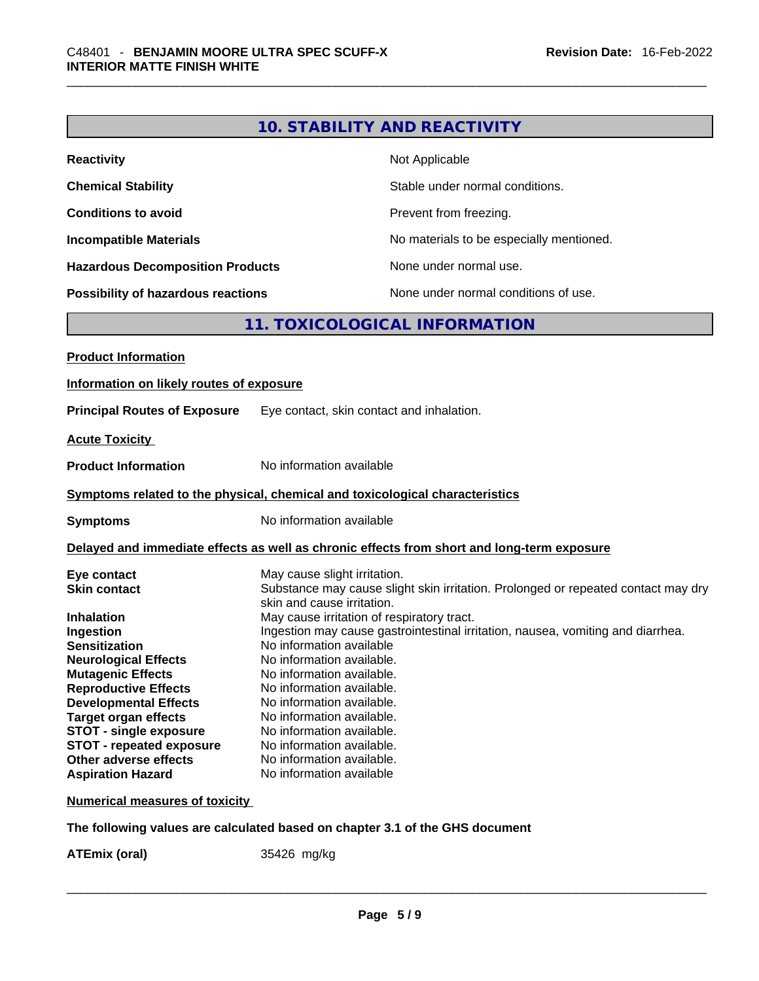|                                                                              |                                                        | <b>10. STABILITY AND REACTIVITY</b>                                                        |
|------------------------------------------------------------------------------|--------------------------------------------------------|--------------------------------------------------------------------------------------------|
| <b>Reactivity</b>                                                            |                                                        | Not Applicable                                                                             |
| <b>Chemical Stability</b>                                                    |                                                        | Stable under normal conditions.                                                            |
| <b>Conditions to avoid</b>                                                   |                                                        | Prevent from freezing.                                                                     |
| <b>Incompatible Materials</b>                                                |                                                        | No materials to be especially mentioned.                                                   |
| <b>Hazardous Decomposition Products</b>                                      |                                                        | None under normal use.                                                                     |
| <b>Possibility of hazardous reactions</b>                                    |                                                        | None under normal conditions of use.                                                       |
|                                                                              |                                                        | 11. TOXICOLOGICAL INFORMATION                                                              |
| <b>Product Information</b>                                                   |                                                        |                                                                                            |
| Information on likely routes of exposure                                     |                                                        |                                                                                            |
| <b>Principal Routes of Exposure</b>                                          |                                                        | Eye contact, skin contact and inhalation.                                                  |
| <b>Acute Toxicity</b>                                                        |                                                        |                                                                                            |
| <b>Product Information</b>                                                   | No information available                               |                                                                                            |
| Symptoms related to the physical, chemical and toxicological characteristics |                                                        |                                                                                            |
| Symptoms                                                                     | No information available                               |                                                                                            |
|                                                                              |                                                        |                                                                                            |
|                                                                              |                                                        | Delayed and immediate effects as well as chronic effects from short and long-term exposure |
| Eye contact                                                                  | May cause slight irritation.                           |                                                                                            |
| <b>Skin contact</b>                                                          |                                                        | Substance may cause slight skin irritation. Prolonged or repeated contact may dry          |
|                                                                              | skin and cause irritation.                             |                                                                                            |
| Inhalation                                                                   |                                                        | May cause irritation of respiratory tract.                                                 |
| Ingestion                                                                    |                                                        | Ingestion may cause gastrointestinal irritation, nausea, vomiting and diarrhea.            |
| <b>Sensitization</b>                                                         | No information available                               |                                                                                            |
| <b>Neurological Effects</b>                                                  | No information available                               |                                                                                            |
| <b>Mutagenic Effects</b>                                                     | No information available.                              |                                                                                            |
| <b>Reproductive Effects</b>                                                  | No information available.                              |                                                                                            |
| <b>Developmental Effects</b>                                                 | No information available.                              |                                                                                            |
| <b>Target organ effects</b>                                                  | No information available.                              |                                                                                            |
| <b>STOT - single exposure</b>                                                | No information available.                              |                                                                                            |
| <b>STOT - repeated exposure</b>                                              | No information available.<br>No information available. |                                                                                            |
| Other adverse effects<br><b>Aspiration Hazard</b>                            | No information available                               |                                                                                            |
|                                                                              |                                                        |                                                                                            |
| <b>Numerical measures of toxicity</b>                                        |                                                        |                                                                                            |
|                                                                              |                                                        |                                                                                            |

**The following values are calculated based on chapter 3.1 of the GHS document**

**ATEmix (oral)** 35426 mg/kg \_\_\_\_\_\_\_\_\_\_\_\_\_\_\_\_\_\_\_\_\_\_\_\_\_\_\_\_\_\_\_\_\_\_\_\_\_\_\_\_\_\_\_\_\_\_\_\_\_\_\_\_\_\_\_\_\_\_\_\_\_\_\_\_\_\_\_\_\_\_\_\_\_\_\_\_\_\_\_\_\_\_\_\_\_\_\_\_\_\_\_\_\_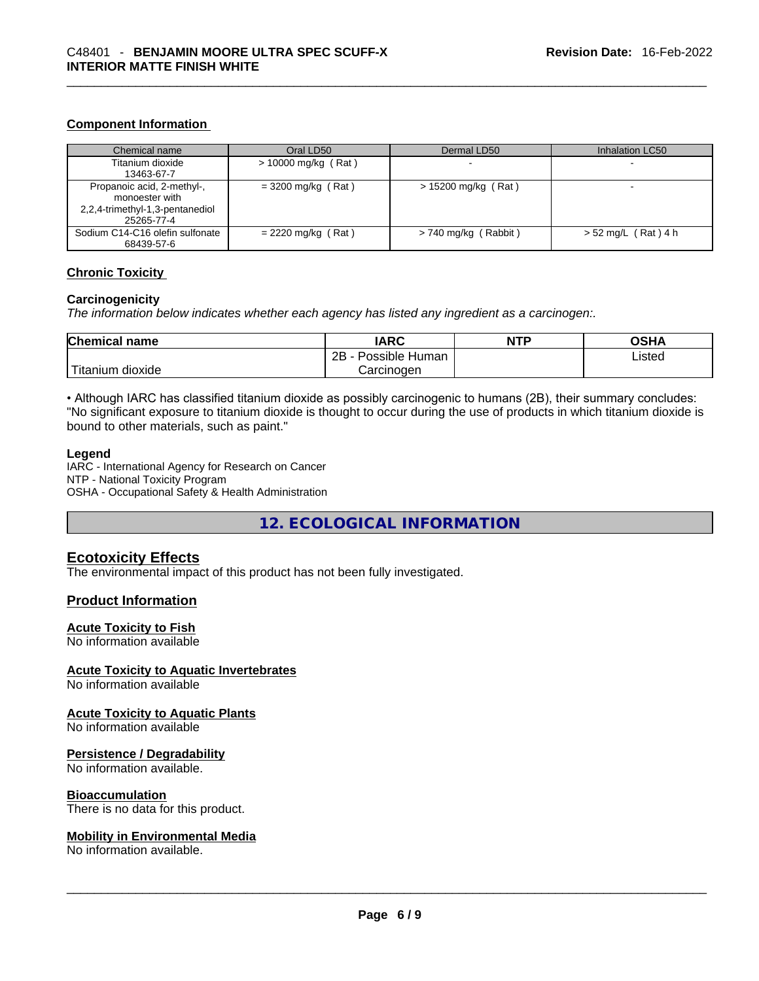#### **Component Information**

| Chemical name                                                                                 | Oral LD50             | Dermal LD50            | Inhalation LC50       |
|-----------------------------------------------------------------------------------------------|-----------------------|------------------------|-----------------------|
| Titanium dioxide<br>13463-67-7                                                                | $> 10000$ mg/kg (Rat) |                        |                       |
| Propanoic acid, 2-methyl-,<br>monoester with<br>2,2,4-trimethyl-1,3-pentanediol<br>25265-77-4 | $= 3200$ mg/kg (Rat)  | $> 15200$ mg/kg (Rat)  | -                     |
| Sodium C14-C16 olefin sulfonate<br>68439-57-6                                                 | $= 2220$ mg/kg (Rat)  | $> 740$ mg/kg (Rabbit) | $> 52$ mg/L (Rat) 4 h |

#### **Chronic Toxicity**

#### **Carcinogenicity**

*The information below indicates whether each agency has listed any ingredient as a carcinogen:.* 

| <b>Chemical name</b>       | IARC                 | <b>NTP</b> | OSHA   |
|----------------------------|----------------------|------------|--------|
|                            | 2B<br>Possible Human |            | ∟isted |
| $-$<br>⊺itanium<br>dioxide | Carcinoɑen           |            |        |

• Although IARC has classified titanium dioxide as possibly carcinogenic to humans (2B), their summary concludes: "No significant exposure to titanium dioxide is thought to occur during the use of products in which titanium dioxide is bound to other materials, such as paint."

#### **Legend**

IARC - International Agency for Research on Cancer NTP - National Toxicity Program OSHA - Occupational Safety & Health Administration

**12. ECOLOGICAL INFORMATION** 

#### **Ecotoxicity Effects**

The environmental impact of this product has not been fully investigated.

#### **Product Information**

#### **Acute Toxicity to Fish**

No information available

#### **Acute Toxicity to Aquatic Invertebrates**

No information available

#### **Acute Toxicity to Aquatic Plants**

No information available

#### **Persistence / Degradability**

No information available.

#### **Bioaccumulation**

# There is no data for this product. \_\_\_\_\_\_\_\_\_\_\_\_\_\_\_\_\_\_\_\_\_\_\_\_\_\_\_\_\_\_\_\_\_\_\_\_\_\_\_\_\_\_\_\_\_\_\_\_\_\_\_\_\_\_\_\_\_\_\_\_\_\_\_\_\_\_\_\_\_\_\_\_\_\_\_\_\_\_\_\_\_\_\_\_\_\_\_\_\_\_\_\_\_ **Mobility in Environmental Media**

No information available.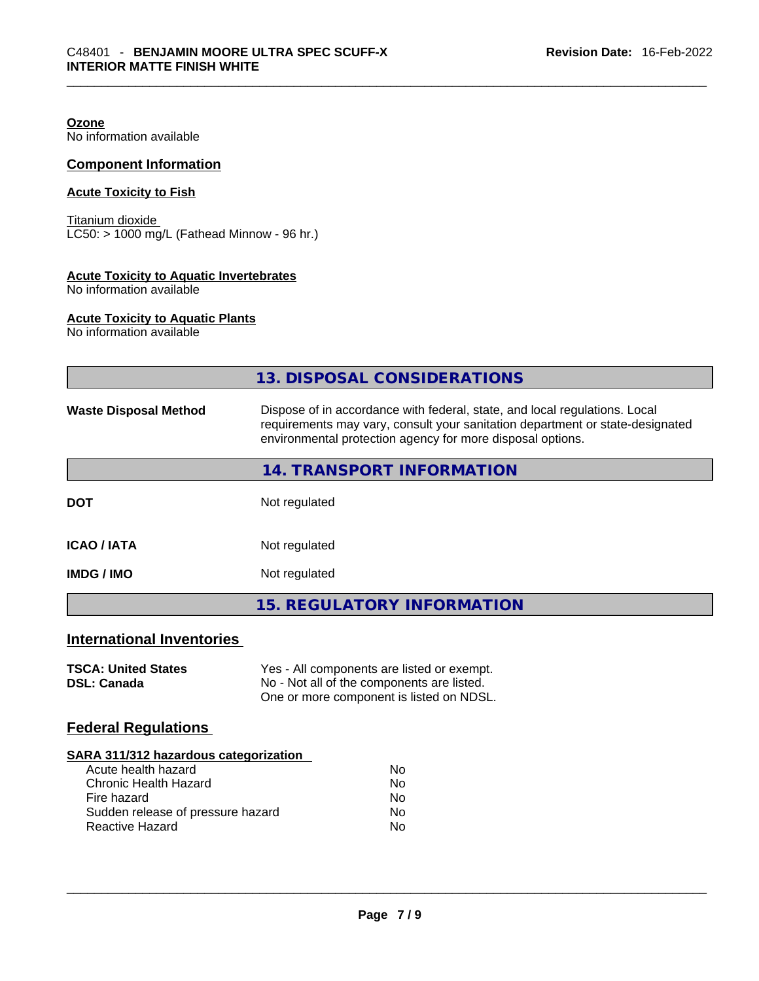**Ozone** No information available

#### **Component Information**

### **Acute Toxicity to Fish**

Titanium dioxide  $\overline{\text{LC50:}}$  > 1000 mg/L (Fathead Minnow - 96 hr.)

#### **Acute Toxicity to Aquatic Invertebrates**

No information available

#### **Acute Toxicity to Aquatic Plants**

No information available

|                              | 13. DISPOSAL CONSIDERATIONS                                                                                                                                                                                               |
|------------------------------|---------------------------------------------------------------------------------------------------------------------------------------------------------------------------------------------------------------------------|
| <b>Waste Disposal Method</b> | Dispose of in accordance with federal, state, and local regulations. Local<br>requirements may vary, consult your sanitation department or state-designated<br>environmental protection agency for more disposal options. |
|                              | 14. TRANSPORT INFORMATION                                                                                                                                                                                                 |
| <b>DOT</b>                   | Not regulated                                                                                                                                                                                                             |
| <b>ICAO / IATA</b>           | Not regulated                                                                                                                                                                                                             |
| <b>IMDG / IMO</b>            | Not regulated                                                                                                                                                                                                             |
|                              | <b>15. REGULATORY INFORMATION</b>                                                                                                                                                                                         |

# **International Inventories**

| <b>TSCA: United States</b> | Yes - All components are listed or exempt. |
|----------------------------|--------------------------------------------|
| <b>DSL: Canada</b>         | No - Not all of the components are listed. |
|                            | One or more component is listed on NDSL.   |

### **Federal Regulations**

#### **SARA 311/312 hazardous categorization**

| Acute health hazard               | Nο |
|-----------------------------------|----|
| Chronic Health Hazard             | Nο |
| Fire hazard                       | Nο |
| Sudden release of pressure hazard | Nο |
| Reactive Hazard                   | Nο |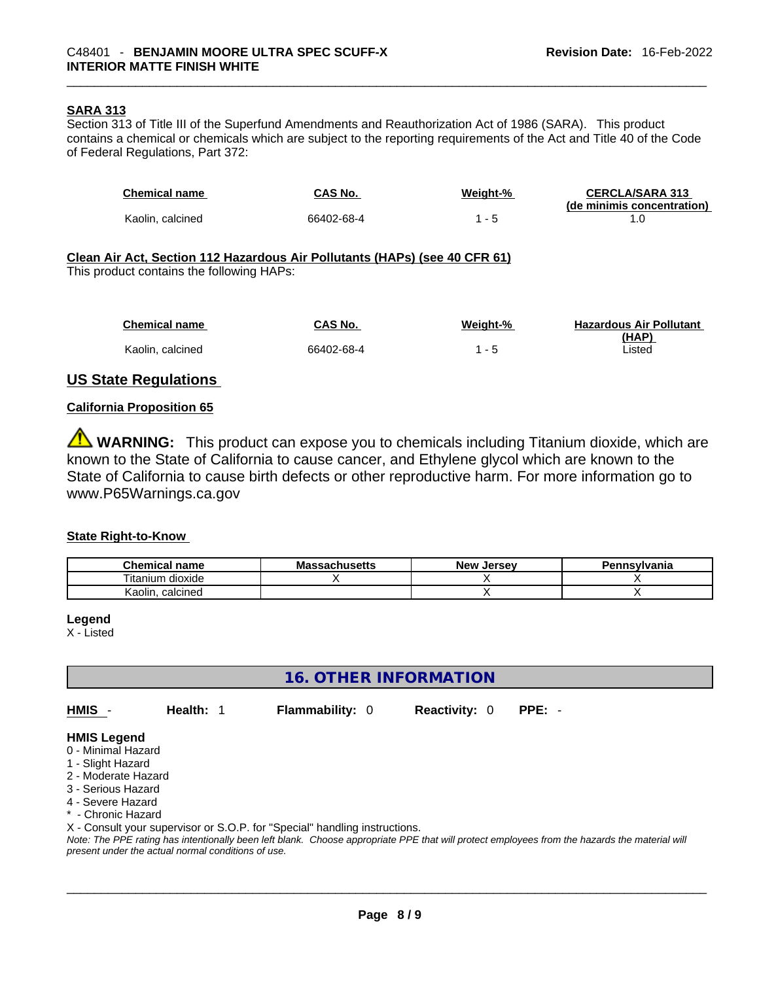#### **SARA 313**

Section 313 of Title III of the Superfund Amendments and Reauthorization Act of 1986 (SARA). This product contains a chemical or chemicals which are subject to the reporting requirements of the Act and Title 40 of the Code of Federal Regulations, Part 372:

| <b>Chemical name</b>                                                                                                    | CAS No.    | Weight-% | <b>CERCLA/SARA 313</b><br>(de minimis concentration) |  |  |  |  |
|-------------------------------------------------------------------------------------------------------------------------|------------|----------|------------------------------------------------------|--|--|--|--|
| Kaolin, calcined                                                                                                        | 66402-68-4 | $1 - 5$  | 1.0                                                  |  |  |  |  |
| Clean Air Act, Section 112 Hazardous Air Pollutants (HAPs) (see 40 CFR 61)<br>This product contains the following HAPs: |            |          |                                                      |  |  |  |  |
|                                                                                                                         |            |          |                                                      |  |  |  |  |
| <b>Chemical name</b>                                                                                                    | CAS No.    | Weight-% | <b>Hazardous Air Pollutant</b><br>(HAP)              |  |  |  |  |
| Kaolin, calcined                                                                                                        | 66402-68-4 | $1 - 5$  | Listed                                               |  |  |  |  |

### **US State Regulations**

#### **California Proposition 65**

**WARNING:** This product can expose you to chemicals including Titanium dioxide, which are known to the State of California to cause cancer, and Ethylene glycol which are known to the State of California to cause birth defects or other reproductive harm. For more information go to www.P65Warnings.ca.gov

#### **State Right-to-Know**

| <b>Chemical</b><br>name | <b>Massachusetts</b> | <b>New</b><br>. Jersev | Pennsylvania |
|-------------------------|----------------------|------------------------|--------------|
| <br>dioxide<br>itanium  |                      |                        |              |
| calcined<br>Kaolin      |                      |                        |              |

**Legend**

X - Listed

**16. OTHER INFORMATION** 

**HMIS** - **Health:** 1 **Flammability:** 0 **Reactivity:** 0 **PPE:** -

#### **HMIS Legend**

- 0 Minimal Hazard
- 1 Slight Hazard
- 2 Moderate Hazard
- 3 Serious Hazard
- 4 Severe Hazard
- \* Chronic Hazard
- X Consult your supervisor or S.O.P. for "Special" handling instructions.

Note: The PPE rating has intentionally been left blank. Choose appropriate PPE that will protect employees from the hazards the material will *present under the actual normal conditions of use.*